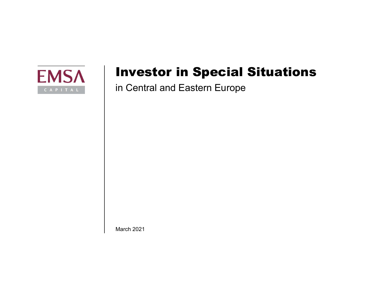

# Investor in Special Situations

in Central and Eastern Europe

March 2021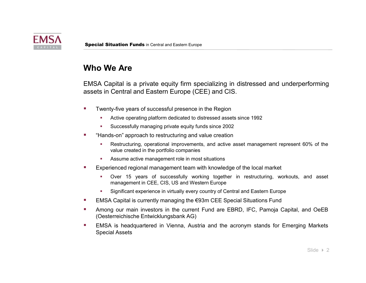

### Who We Are

Special Situation Funds in Central and Eastern Europe<br> **Who We Are**<br>
EMSA Capital is a private equity firm specializing in distressed and underperforming<br>
assets in Central and Eastern Europe (CEE) and CIS.<br>
"Iventy-five y **Action Funds** in Central and Eastern Europe<br> **Active operation**<br>
A Capital is a private equity firm specializing in distressed and underperforming<br>
Fin Central and Eastern Europe (CEE) and CIS.<br>
Wenty-five years of succes **Successfully**<br>
Successfully fund the private equity firm specializing in distressed and underperforming<br>
Successfully managing private equity funds and CIS.<br>
Wenty-five years of successful presence in the Region<br>
"Active **Special Situation Funds** in Central and Eastern Europe<br> **Who We Are**<br>
EMSA Capital is a private equity firm specializing in distressed and underperforming<br>
assets in Central and Eastern Europe (CEE) and CIS.<br>
"I Wently-fi **Net Are**<br> **Net Are**<br> **Net Arestructure is a private equity firm specializing in distressed and underperforming<br>
is in Central and Eastern Europe (CEE) and CIS.<br>
Wenty-five years of successful presence in the Region<br>
• Act tuation Funds** in Central and Eastem Europe<br> **Je Are**<br> **Are**<br> **Apital** is a private equity firm specializing in distressed and underperforming<br>
Central and Eastern Europe (CEE) and CIS.<br>
V-five years of successful presenc **Situation Funds** in Central and Eastern Europe<br> **We Are**<br> **We Are**<br> **We Are**<br> **We Are**<br> **We Area active management in most situation** in distressed and underperforming<br>
in Central and Eastern Europe (CEE) and CIS.<br>
Wenty **EXPERIENT EXPERIENT MANAGEMERIER CONDUCT THEORET CONDUCT CONDUCT THEORET THEORET THEORET THEORET THEORET THEORET THEORET THEORET THEORET THEORET THEORET THEORET THEORET THEORET THEORET THEORET THEORET THEORET THEORET THE Te Are**<br>
apital is a private equity firm specializing in distressed and underperforming<br>
Central and Eastern Europe (CEE) and CIS.<br>
Sy-five years of successful presence in the Region<br>
Active operating platform dedicated t Capital is a private equity firm specializing in distressed and underperforming<br>
Sin Central and Eastern Europe (CEE) and CIS.<br>
Wenty-five years of successful presence in the Region<br>
"Active operating platform dedicated to EMSA Capital is a private equity firm specializing in distressed and underperforming<br>
assets in Central and Eastern Europe (CEE) and CIS.<br>
"Twenty-five years of successful presence in the Region<br>
"Active operating platfor Special Situation Funds in Central and Eastern Europe<br>
Who We Are<br>
EMSA Capital is a private equity firm specializing in distressed and underperforming<br>
assets in Central and Eastern Europe (CEE) and CIS.<br>
"Twenty-five yea Special Situation Funds in Central and Eastern Europe<br>
Who We Are<br>
EMSA Capital is a private equity firm specializing in distressed and underperforming<br>
assets in Central and Eastern Europe (CEE) and CIS.<br>
"Twenty-five yea

- -
	-
- -
	-
- -
	-
- 
- **Example 12 The main investor in the current Fund are EBRD**, IFC, Pamoja Capital, and OeEB<br> **Among our main investors in the current Fund are are are are are are are are are the value creation<br>
 Active operating particula** For Twenty-five years of successful presence in the Region<br>
■ Active operating platform dedicated to distessed assets since 1992<br>
■ Successfully managing private equity funds since 2002<br>
■ "Hands-on" approach to restruct Active operating platform dedicated to distressed assets since 1992<br>
Successfully managing private equity funds since 2002<br>
Successfully managing private equity funds since 2002<br>
"Hands-on" approach to restructuring and va
-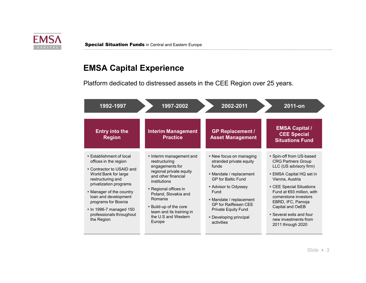

# EMSA Capital Experience

|                                                                                                   | <b>Special Situation Funds in Central and Eastern Europe</b>             |                                                                                  |                                                                                                     |
|---------------------------------------------------------------------------------------------------|--------------------------------------------------------------------------|----------------------------------------------------------------------------------|-----------------------------------------------------------------------------------------------------|
| <b>EMSA Capital Experience</b>                                                                    |                                                                          |                                                                                  |                                                                                                     |
|                                                                                                   | Platform dedicated to distressed assets in the CEE Region over 25 years. |                                                                                  |                                                                                                     |
|                                                                                                   |                                                                          |                                                                                  |                                                                                                     |
| 1992-1997                                                                                         | 1997-2002                                                                | 2002-2011                                                                        | 2011-on                                                                                             |
|                                                                                                   |                                                                          |                                                                                  |                                                                                                     |
|                                                                                                   |                                                                          |                                                                                  |                                                                                                     |
| <b>Entry into the</b><br><b>Region</b>                                                            | <b>Interim Management</b><br><b>Practice</b>                             | <b>GP Replacement /</b><br><b>Asset Management</b>                               | <b>EMSA Capital /</b><br><b>CEE Special</b><br><b>Situations Fund</b>                               |
| <b>Establishment of local</b><br>offices in the region                                            | Interim management and<br>restructuring                                  | • New focus on managing<br>stranded private equity                               | • Spin-off from US-based<br><b>CRG Partners Group</b>                                               |
| • Contractor to USAID and<br>World Bank for large<br>restructuring and                            | engagements for<br>regional private equity<br>and other financial        | funds<br>• Mandate / replacement<br>GP for Baltic Fund                           | LLC (US advisory firm)<br>• EMSA Capital HQ set in<br>Vienna, Austria                               |
| privatization programs<br>• Manager of the country<br>loan and development<br>programs for Bosnia | institutions<br>• Regional offices in<br>Poland, Slovakia and<br>Romania | • Advisor to Odyssey<br>Fund<br>• Mandate / replacement<br>GP for Raiffeisen CEE | • CEE Special Situations<br>Fund at €93 million, with<br>cornerstone investors<br>EBRD, IFC, Pamoja |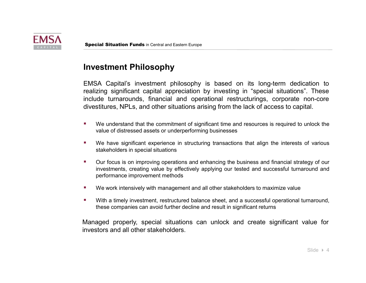

### Investment Philosophy

Special Situation Funds in Central and Eastern Europe<br>
Investment Philosophy<br>
EMSA Capital's investment philosophy is based on its long-term dedication to<br>
realizing significant capital appreciation by investing in "specia **Example 15 Struction Funds** in Central and Eastern Europe<br>
SA Capital's investment philosophy is based on its long-term dedication to<br>
Exing significant capital appreciation by investing in "special situations". These<br>
dd Special Situation Funds in Central and Eastern Europe<br>
Investment Philosophy<br>
EMSA Capital's investment philosophy is based on its long-term dedication to<br>
realizing significant capital appreciation by investing in "specia **Example 15 Situation Funds** in Central and Eastern Europe<br> **EStment Philosophy**<br>
SA Capital's investment philosophy is based on its long-term dedic<br>
Exing significant capital appreciation by investing in "special situatio **Special Situation Funds in Central and Eastern Europe**<br> **Investment Philosophy**<br>
EMSA Capital's investment philosophy is based on its long-term dedication to<br>
realizing significant capital appreciation by investing in "sp **instant Philosophy**<br>
SA Capital's investment philosophy is based on its long-term dedication to<br>
Dig significant capital appreciation by investing in "special situations". These<br>
dide turnarounds, financial and operationa **estment Philosophy**<br>
SA Capital's investment philosophy is based on its long-term dedications".<br>
Exing significant capital appreciation by investing in "special situations". The<br>
dide turnarounds, financial and operationa INVERTIME THINDSOPHY<br>
EMSA Capital's investment philosophy is based on its long-term dedication to<br>
trealizing significant capital appreciation by investing in "special situations." These<br>
investitures, NPLs, and other sti EMSA Capital's investment philosophy is based on its long-term dedication to<br>
realizing significant capital appreciation by investing in "special situations". These<br>
include turnarounds, financial and operational restructu ing significant capital appreciation by investing in "special situations". These<br>de turnarounds, financial and operational restructurings, corporate non-core<br>stitures, NPLs, and other situations arising from the lack of ac Special Situation Funds in Central and Eastern Europe<br> **Investment Philosophy**<br>
EMSA Capital's investment philosophy is based on its long-term dedication to<br>
realizing significant capital appreciation by investing in "spec Special Situation Funds in Central and Eastern Europe<br>
Investment Philosophy<br>
EMSA Capital's investment philosophy is based on its long-term dedication to<br>
realizing significant capital appreciation by investing in "specia Special Situation Funds in Central and Eastern Europe<br> **investment Philosophy**<br>
EMSA Capital's investment philosophy is based on its long-term dedication to<br>
realizing significant capital appreciation by investing in "spec **Special Situation Funds** in Central and Eastern Europe<br> **Investment Philosophy**<br>
EMSA Capital's investment philosophy is based on its long-term dedication to<br>
realizing significant capital appreciation by investing in "sp

- 
- 
- divestitures, NPLs, and other situations arising from the lack of access to capital.<br>
 We understand that the commitment of significant time and resources is required to unlock the value of distressed assets or underperfo IVEN understand that the commitment of significant time and resources is required value of distressed assets or underperforming businesses<br>
IVEN have significant experience in structuring transactions that align the intere
- 
-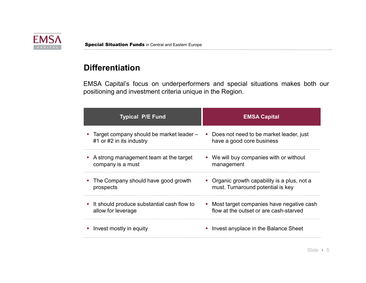

## **Differentiation**

Special Situation Funds in Central and Eastern Europe<br> **Differentiation**<br>
EMSA Capital's focus on underperformers and special situations makes both our<br>
positioning and investment criteria unique in the Region. Special Situation Funds in Central and Eastern Europe<br>
Differentiation<br>
EMSA Capital's focus on underperformers and special situations makes both our<br>
positioning and investment criteria unique in the Region.<br>
Typical P/E

| <b>Special Situation Funds in Central and Eastern Europe</b>                                                                               |                                                                                        |
|--------------------------------------------------------------------------------------------------------------------------------------------|----------------------------------------------------------------------------------------|
| <b>Differentiation</b>                                                                                                                     |                                                                                        |
| EMSA Capital's focus on underperformers and special situations makes both our<br>positioning and investment criteria unique in the Region. |                                                                                        |
| <b>Typical P/E Fund</b>                                                                                                                    | <b>EMSA Capital</b>                                                                    |
| • Target company should be market leader -<br>#1 or #2 in its industry                                                                     | Does not need to be market leader, just<br>$\blacksquare$<br>have a good core business |
| • A strong management team at the target<br>company is a must                                                                              | • We will buy companies with or without<br>management                                  |
| • The Company should have good growth                                                                                                      | • Organic growth capability is a plus, not a                                           |
| prospects                                                                                                                                  | must. Turnaround potential is key                                                      |
| It should produce substantial cash flow to<br>allow for leverage                                                                           | • Most target companies have negative cash<br>flow at the outset or are cash-starved   |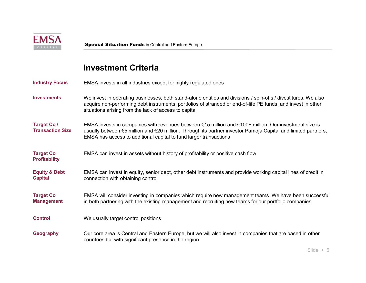

# Investment Criteria

| <b>EMSA</b><br>CAPITAI                        | <b>Special Situation Funds in Central and Eastern Europe</b>                                                                                                                                                                                                                                |
|-----------------------------------------------|---------------------------------------------------------------------------------------------------------------------------------------------------------------------------------------------------------------------------------------------------------------------------------------------|
|                                               | <b>Investment Criteria</b>                                                                                                                                                                                                                                                                  |
| <b>Industry Focus</b>                         | EMSA invests in all industries except for highly regulated ones                                                                                                                                                                                                                             |
| <b>Investments</b>                            | We invest in operating businesses, both stand-alone entities and divisions / spin-offs / divestitures. We also<br>acquire non-performing debt instruments, portfolios of stranded or end-of-life PE funds, and invest in other<br>situations arising from the lack of access to capital     |
| <b>Target Co /</b><br><b>Transaction Size</b> | EMSA invests in companies with revenues between €15 million and €100+ million. Our investment size is<br>usually between €5 million and €20 million. Through its partner investor Pamoja Capital and limited partners,<br>EMSA has access to additional capital to fund larger transactions |
| <b>Target Co</b><br><b>Profitability</b>      | EMSA can invest in assets without history of profitability or positive cash flow                                                                                                                                                                                                            |
| <b>Equity &amp; Debt</b><br><b>Capital</b>    | EMSA can invest in equity, senior debt, other debt instruments and provide working capital lines of credit in<br>connection with obtaining control                                                                                                                                          |
| <b>Target Co</b><br><b>Management</b>         | EMSA will consider investing in companies which require new management teams. We have been successful<br>in both partnering with the existing management and recruiting new teams for our portfolio companies                                                                               |
| <b>Control</b>                                | We usually target control positions                                                                                                                                                                                                                                                         |
| <b>Geography</b>                              | Our core area is Central and Eastern Europe, but we will also invest in companies that are based in other<br>countries but with significant presence in the region                                                                                                                          |
|                                               | Slide $\rightarrow$ 6                                                                                                                                                                                                                                                                       |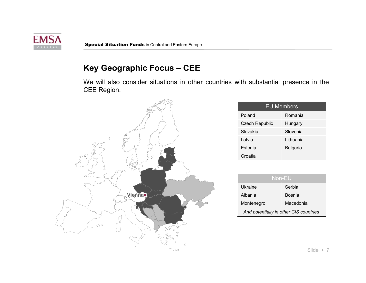

Special Situation Funds in Central and Eastern Europe<br>
Key Geographic Focus – CEE<br>
We will also consider situations in other countries with substantial presence in the<br>CEE Region. Special Situation Funds in Central and Eastern Europe<br>
We will also consider situations in other countries with substantial presence in the<br>
CEE Region.<br>
EU Members



|                | vith substantial presence in the       |
|----------------|----------------------------------------|
|                |                                        |
|                |                                        |
|                | <b>EU Members</b>                      |
| Poland         | Romania                                |
| Czech Republic | Hungary                                |
| Slovakia       | Slovenia                               |
| Latvia         | Lithuania                              |
| Estonia        | <b>Bulgaria</b>                        |
| Croatia        |                                        |
|                |                                        |
|                | Non-EU                                 |
| Ukraine        | Serbia                                 |
| Albania        | <b>Bosnia</b>                          |
|                |                                        |
| Montenegro     | Macedonia                              |
|                | And potentially in other CIS countries |
|                |                                        |
|                |                                        |
|                |                                        |

| Non-EU                                 |           |  |
|----------------------------------------|-----------|--|
| Ukraine                                | Serbia    |  |
| Albania                                | Bosnia    |  |
| Montenegro                             | Macedonia |  |
| And potentially in other CIS countries |           |  |

Slide  $\rightarrow$  7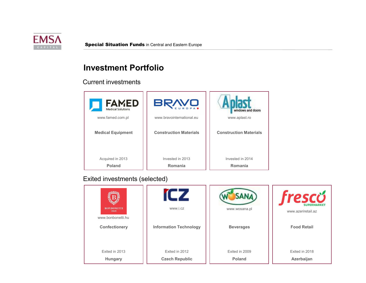

### Investment Portfolio

### Current investments



### Exited investments (selected)

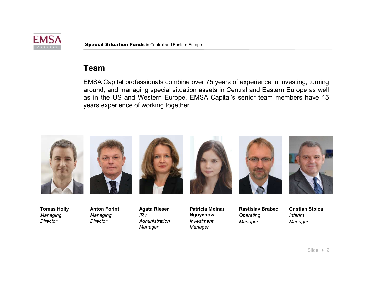

### Team

Special Situation Funds in Central and Eastern Europe<br> **Team**<br>
EMSA Capital professionals combine over 75 years of experience in investing, turning<br>
around, and managing special situation assets in Central and Eastern Euro Special Situation Funds in Central and Eastern Europe<br> **Team**<br>
EMSA Capital professionals combine over 75 years of experience in investing, turning<br>
around, and managing special situation assets in Central and Eastern Euro Special Situation Funds in Central and Eastern Europe.<br> **Team**<br>
EMSA Capital professionals combine over 75 years of experience in investing, turning<br>
around, and managing special situation assets in Central and Eastern Eur Special Situation Funds in Central and Eastern Europe<br> **Team**<br>
EMSA Capital professionals combine over 75 years of experience in investing, tur<br>
around, and managing special situation assets in Central and Eastern Europe a



Tomas Holly Managing **Director** 

Managing **Director** 

Anton Forint  $IR/$ **Administration** Manager

Agata Rieser Patricia Molnar Nguyenova Investment Manager

Rastislav Brabec **Operating** Manager

Cristian Stoica Interim Manager